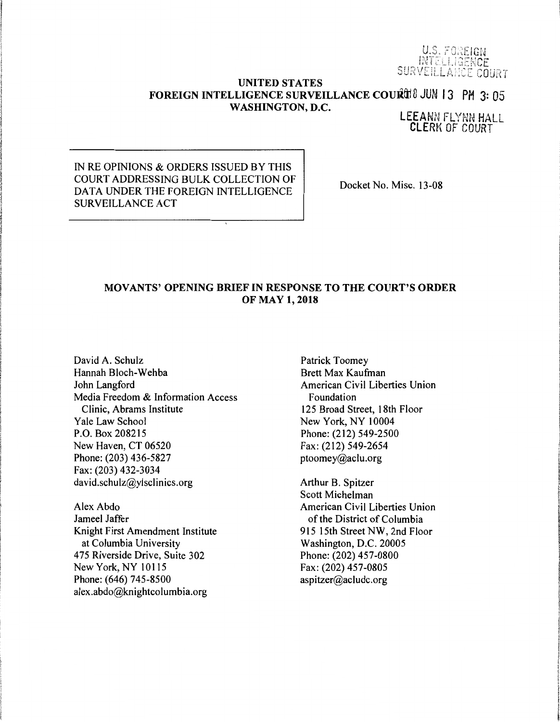U.S. FOREIGN INTELLIGENCE<br>SURVEILLANCE COURT

### **UNITED STATES FOREIGN INTELLIGENCE SURVEILLANCE COURTEL 13 PM 3: 05 WASHINGTON, D.C.**

LEEANN FLYNN HALL CLERK OF COURT

IN RE OPINIONS & ORDERS ISSUED BY THIS COURT ADDRESSING BULK COLLECTION OF DATA UNDER THE FOREIGN INTELLIGENCE SURVEILLANCE ACT

Docket No. Misc. 13-08

## **MOVANTS' OPENING BRIEF IN RESPONSE TO THE COURT'S ORDER OF MAY 1, 2018**

David A. Schulz Hannah Bloch-Wehba John Langford Media Freedom & Information Access Clinic, Abrams Institute Yale Law School P.O. Box 208215 New Haven, CT 06520 Phone: (203) 436-5827 Fax: (203) 432-3034 david.schulz@ylsclinics.org

Alex Abdo Jameel Jaffer Knight First Amendment Institute at Columbia University 475 Riverside Drive, Suite 302 New York, NY 10115 Phone: (646) 745-8500 alex.abdo@knightcolumbia.org

Patrick Toomey Brett Max Kaufman American Civil Liberties Union Foundation 125 Broad Street, 18th Floor New York, NY 10004 Phone: (212) 549-2500 Fax: (212) 549-2654 ptoomey@aclu.org

Arthur B. Spitzer Scott Michelman American Civil Liberties Union of the District of Columbia 915 15th Street NW, 2nd Floor Washington, D.C. 20005 Phone: (202) 457-0800 Fax: (202) 457-0805 aspitzer@acludc.org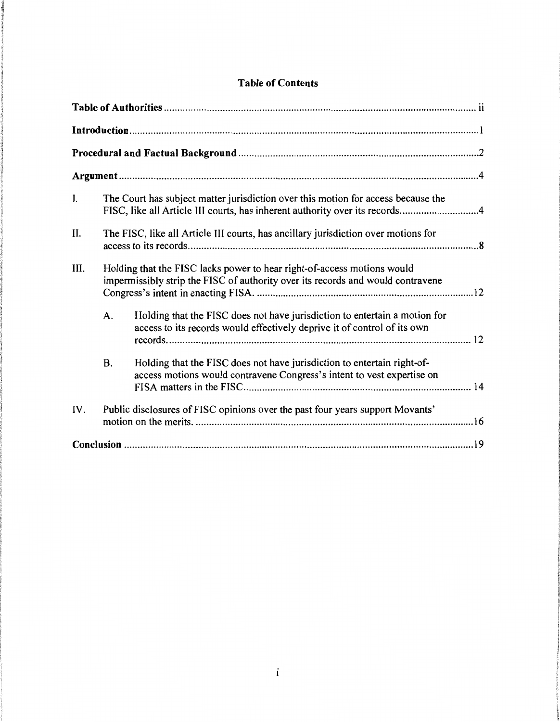| Ι.   |           | The Court has subject matter jurisdiction over this motion for access because the<br>FISC, like all Article III courts, has inherent authority over its records4 |  |  |  |  |
|------|-----------|------------------------------------------------------------------------------------------------------------------------------------------------------------------|--|--|--|--|
| II.  |           | The FISC, like all Article III courts, has ancillary jurisdiction over motions for                                                                               |  |  |  |  |
| III. |           | Holding that the FISC lacks power to hear right-of-access motions would<br>impermissibly strip the FISC of authority over its records and would contravene       |  |  |  |  |
|      | A.        | Holding that the FISC does not have jurisdiction to entertain a motion for<br>access to its records would effectively deprive it of control of its own           |  |  |  |  |
|      | <b>B.</b> | Holding that the FISC does not have jurisdiction to entertain right-of-<br>access motions would contravene Congress's intent to vest expertise on                |  |  |  |  |
| IV.  |           | Public disclosures of FISC opinions over the past four years support Movants'                                                                                    |  |  |  |  |
|      |           |                                                                                                                                                                  |  |  |  |  |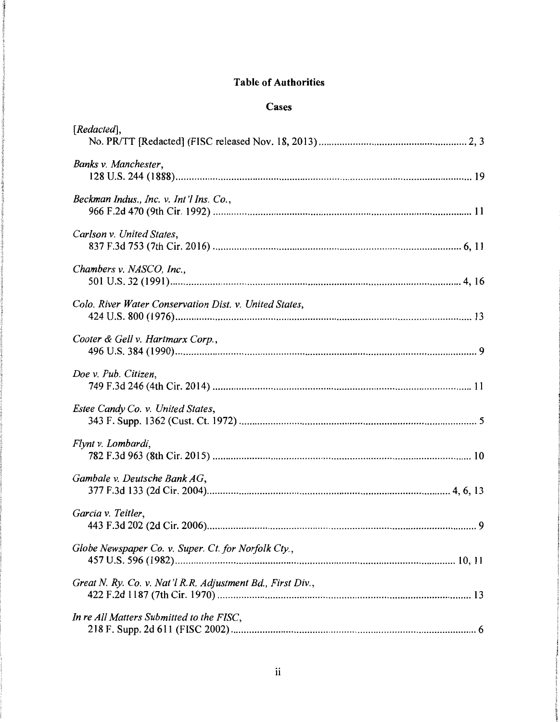# **Table of Authorities**

## **Cases**

| [Redacted],                                                |
|------------------------------------------------------------|
| Banks v. Manchester,                                       |
| Beckman Indus., Inc. v. Int'l Ins. Co.,                    |
| Carlson v. United States,                                  |
| Chambers v. NASCO, Inc.,                                   |
| Colo. River Water Conservation Dist. v. United States,     |
| Cooter & Gell v. Hartmarx Corp.,                           |
| Doe v. Pub. Citizen,                                       |
| Estee Candy Co. v. United States,                          |
| Flynt v. Lombardi,                                         |
| Gambale v. Deutsche Bank AG,                               |
| Garcia v. Teitler,                                         |
| Globe Newspaper Co. v. Super. Ct. for Norfolk Cty.,        |
| Great N. Ry. Co. v. Nat'l R.R. Adjustment Bd., First Div., |
| In re All Matters Submitted to the FISC,                   |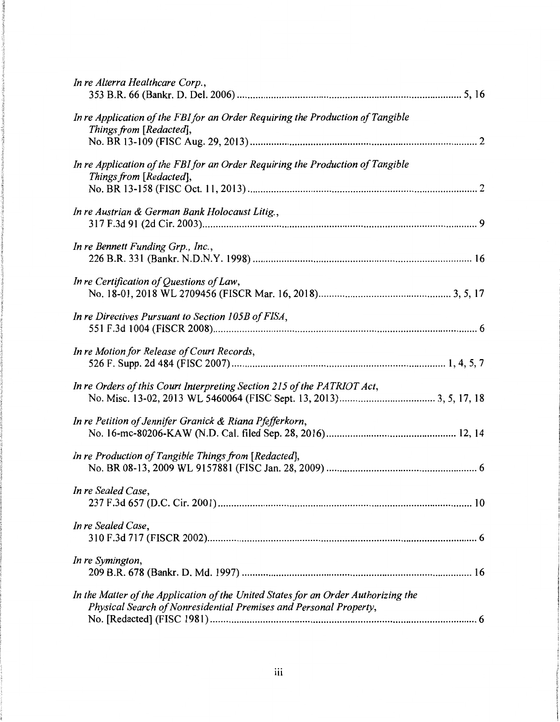| In re Alterra Healthcare Corp.,                                                                                                                         |
|---------------------------------------------------------------------------------------------------------------------------------------------------------|
| In re Application of the FBI for an Order Requiring the Production of Tangible<br>Things from [Redacted],                                               |
| In re Application of the FBI for an Order Requiring the Production of Tangible<br>Things from [Redacted],                                               |
| In re Austrian & German Bank Holocaust Litig.,                                                                                                          |
| In re Bennett Funding Grp., Inc.,                                                                                                                       |
| In re Certification of Questions of Law,                                                                                                                |
| In re Directives Pursuant to Section 105B of FISA,                                                                                                      |
| In re Motion for Release of Court Records,                                                                                                              |
| In re Orders of this Court Interpreting Section 215 of the PATRIOT Act,                                                                                 |
| In re Petition of Jennifer Granick & Riana Pfefferkorn,                                                                                                 |
| In re Production of Tangible Things from [Redacted],                                                                                                    |
| In re Sealed Case,                                                                                                                                      |
| In re Sealed Case,                                                                                                                                      |
| In re Symington,                                                                                                                                        |
| In the Matter of the Application of the United States for an Order Authorizing the<br>Physical Search of Nonresidential Premises and Personal Property, |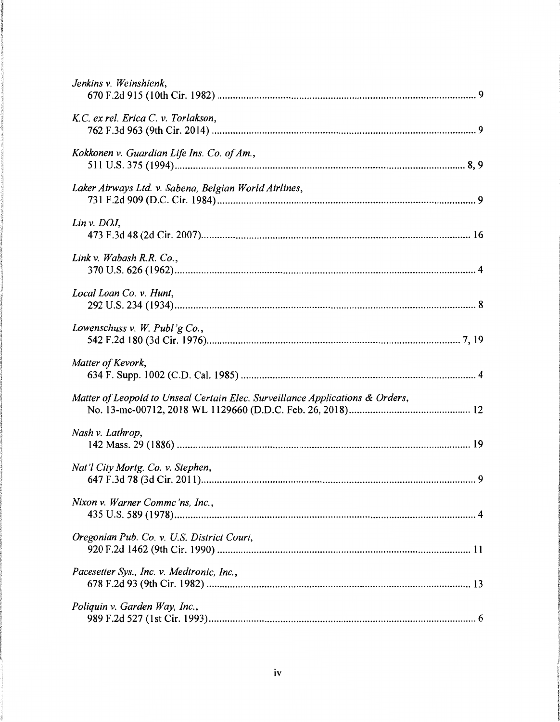| Jenkins v. Weinshienk,                                                        |
|-------------------------------------------------------------------------------|
| K.C. ex rel. Erica C. v. Torlakson,                                           |
| Kokkonen v. Guardian Life Ins. Co. of Am.,                                    |
| Laker Airways Ltd. v. Sabena, Belgian World Airlines,                         |
| Lin v. $DOJ$ ,                                                                |
| Link v. Wabash R.R. Co.,                                                      |
| Local Loan Co. v. Hunt,                                                       |
| Lowenschuss v. W. Publ'g Co.,                                                 |
| Matter of Kevork,                                                             |
| Matter of Leopold to Unseal Certain Elec. Surveillance Applications & Orders, |
| Nash v. Lathrop,                                                              |
| Nat'l City Mortg. Co. v. Stephen,                                             |
| Nixon v. Warner Commc'ns, Inc.,                                               |
| Oregonian Pub. Co. v. U.S. District Court,                                    |
| Pacesetter Sys., Inc. v. Medtronic, Inc.,                                     |
| Poliquin v. Garden Way, Inc.,                                                 |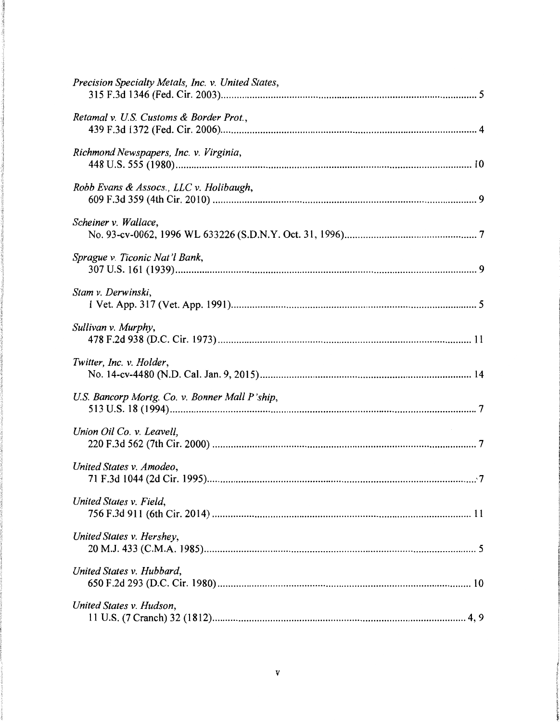| Precision Specialty Metals, Inc. v. United States, |
|----------------------------------------------------|
| Retamal v. U.S. Customs & Border Prot.,            |
| Richmond Newspapers, Inc. v. Virginia,             |
| Robb Evans & Assocs., LLC v. Holibaugh,            |
| Scheiner v. Wallace,                               |
| Sprague v. Ticonic Nat'l Bank,                     |
| Stam v. Derwinski,                                 |
| Sullivan v. Murphy,                                |
| Twitter, Inc. v. Holder,                           |
| U.S. Bancorp Mortg. Co. v. Bonner Mall P'ship,     |
| Union Oil Co. v. Leavell,                          |
| United States v. Amodeo,                           |
| United States v. Field,                            |
| United States v. Hershey,                          |
| United States v. Hubbard,                          |
| United States v. Hudson,<br>4.9                    |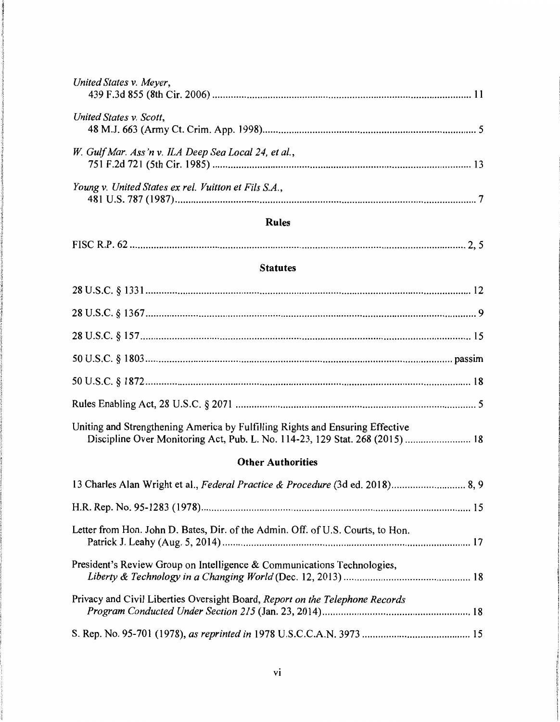| United States v. Meyer,                                                                                                                                       |  |  |  |  |
|---------------------------------------------------------------------------------------------------------------------------------------------------------------|--|--|--|--|
| United States v. Scott,                                                                                                                                       |  |  |  |  |
| W. Gulf Mar. Ass'n v. ILA Deep Sea Local 24, et al.,                                                                                                          |  |  |  |  |
| Young v. United States ex rel. Vuitton et Fils S.A.,                                                                                                          |  |  |  |  |
| <b>Rules</b>                                                                                                                                                  |  |  |  |  |
|                                                                                                                                                               |  |  |  |  |
| <b>Statutes</b>                                                                                                                                               |  |  |  |  |
|                                                                                                                                                               |  |  |  |  |
|                                                                                                                                                               |  |  |  |  |
|                                                                                                                                                               |  |  |  |  |
|                                                                                                                                                               |  |  |  |  |
|                                                                                                                                                               |  |  |  |  |
|                                                                                                                                                               |  |  |  |  |
| Uniting and Strengthening America by Fulfilling Rights and Ensuring Effective<br>Discipline Over Monitoring Act, Pub. L. No. 114-23, 129 Stat. 268 (2015)  18 |  |  |  |  |
| <b>Other Authorities</b>                                                                                                                                      |  |  |  |  |
| 13 Charles Alan Wright et al., Federal Practice & Procedure (3d ed. 2018) 8, 9                                                                                |  |  |  |  |
|                                                                                                                                                               |  |  |  |  |
| Letter from Hon. John D. Bates, Dir. of the Admin. Off. of U.S. Courts, to Hon.                                                                               |  |  |  |  |
| President's Review Group on Intelligence & Communications Technologies,                                                                                       |  |  |  |  |
| Privacy and Civil Liberties Oversight Board, Report on the Telephone Records                                                                                  |  |  |  |  |
|                                                                                                                                                               |  |  |  |  |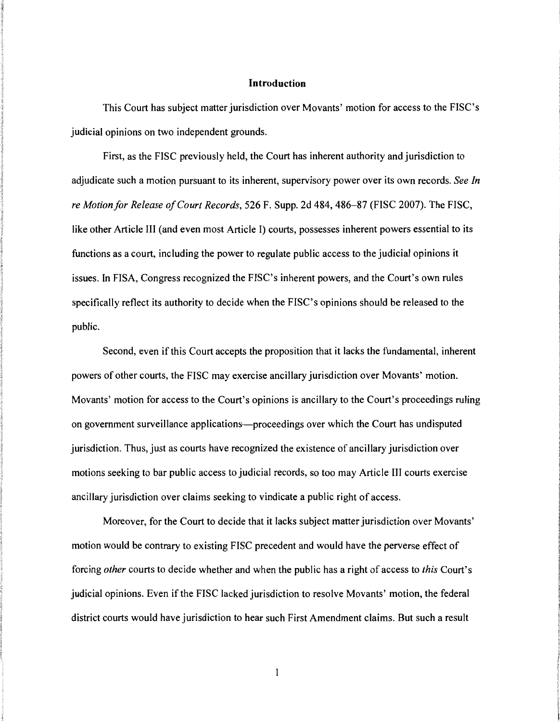### **Introduction**

This Court has subject matter jurisdiction over Movants' motion for access to the FISC's judicial opinions on two independent grounds.

First, as the FISC previously held, the Court has inherent authority and jurisdiction to adjudicate such a motion pursuant to its inherent, supervisory power over its own records. *See In re Motion for Release of Court Records,* 526 F. Supp. 2d 484, 486-87 (FISC 2007). The FISC, like other Article III (and even most Article I) courts, possesses inherent powers essential to its functions as a court, including the power to regulate public access to the judicial opinions it issues. In FISA, Congress recognized the FISC's inherent powers, and the Court's own rules specifically reflect its authority to decide when the FISC's opinions should be released to the public.

Second, even if this Court accepts the proposition that it lacks the fundamental, inherent powers of other courts, the FISC may exercise ancillary jurisdiction over Movants' motion. Movants' motion for access to the Court's opinions is ancillary to the Court's proceedings ruling on government surveillance applications-proceedings over which the Court has undisputed jurisdiction. Thus, just as courts have recognized the existence of ancillary jurisdiction over motions seeking to bar public access to judicial records, so too may Article III courts exercise ancillary jurisdiction over claims seeking to vindicate a public right of access.

Moreover, for the Court to decide that it lacks subject matter jurisdiction over Movants' motion would be contrary to existing FISC precedent and would have the perverse effect of forcing *other* courts to decide whether and when the public has a right of access to *this* Court's judicial opinions. Even if the FISC lacked jurisdiction to resolve Movants' motion, the federal district courts would have jurisdiction to hear such First Amendment claims. But such a result

 $\mathbf{1}$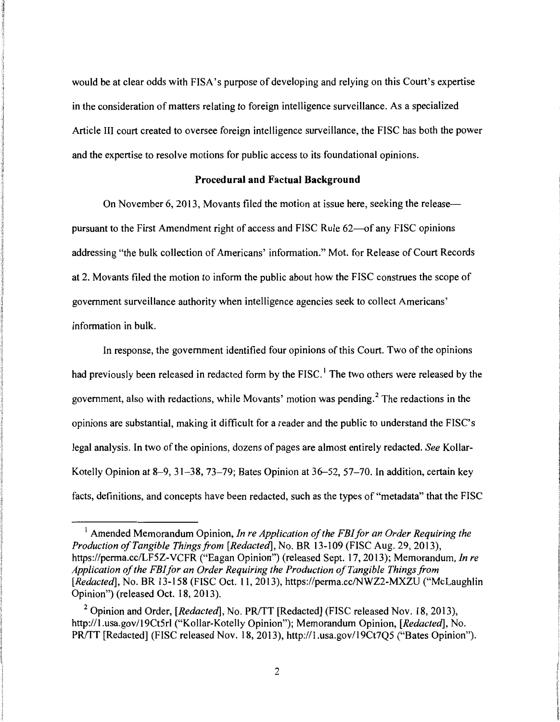would be at clear odds with FISA's purpose of developing and relying on this Court's expertise in the consideration of matters relating to foreign intelligence surveillance. As a specialized Article III court created to oversee foreign intelligence surveillance, the FISC has both the power and the expertise to resolve motions for public access to its foundational opinions.

### **Procedural and Factual Background**

On November 6, 2013, Movants filed the motion at issue here, seeking the release-pursuant to the First Amendment right of access and FISC Rule 62--of any FISC opinions addressing "the bulk collection of Americans' information." Mot. for Release of Court Records at 2. Movants filed the motion to inform the public about how the FISC construes the scope of government surveillance authority when intelligence agencies seek to collect Americans' information in bulk.

In response, the government identified four opinions of this Court. Two of the opinions had previously been released in redacted form by the FISC.<sup>1</sup> The two others were released by the government, also with redactions, while Movants' motion was pending. 2 The redactions in the opinions are substantial, making it difficult for a reader and the public to understand the FISC's legal analysis. In two of the opinions, dozens of pages are almost entirely redacted. *See* Kollar-Kotelly Opinion at 8-9, 31-38, 73-79; Bates Opinion at 36-52, 57-70. In addition, certain key facts, definitions, and concepts have been redacted, such as the types of "metadata" that the FISC

<sup>&</sup>lt;sup>1</sup> Amended Memorandum Opinion, *In re Application of the FBI for an Order Requiring the Production of Tangible Things.from [Redacted],* No. BR 13-109 (FISC Aug. 29, 2013), https://perma.cc/LF5Z-VCFR ("Eagan Opinion") (released Sept. 17, 2013); Memorandum, *In re Application of the FBI for an Order Requiring the Production of Tangible Things.from [Redacted],* No. BR 13-158 (FISC Oct. 11, 2013), https://perma.cc/NWZ2-MXZU ("McLaughlin Opinion") (released Oct. 18, 2013).

<sup>&</sup>lt;sup>2</sup> Opinion and Order, *[Redacted]*, No. PR/TT [Redacted] (FISC released Nov. 18, 2013), http://1.usa.gov/19Ct5rl ("Kollar-Kotelly Opinion"); Memorandum Opinion, *[Redacted],* No. PR/TT [Redacted] (FISC released Nov. 18, 2013), http://1.usa.gov/19Ct7O5 ("Bates Opinion").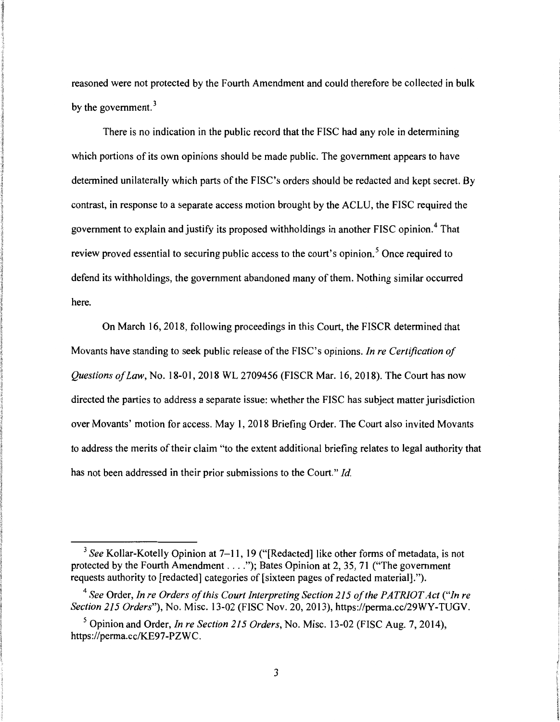reasoned were not protected by the Fourth Amendment and could therefore be collected in bulk by the government.<sup>3</sup>

There is no indication in the public record that the FISC had any role in determining which portions of its own opinions should be made public. The government appears to have determined unilaterally which parts of the FISC's orders should be redacted and kept secret. By contrast, in response to a separate access motion brought by the ACLU, the FISC required the government to explain and justify its proposed withholdings in another FISC opinion. 4 That review proved essential to securing public access to the court's opinion.<sup>5</sup> Once required to defend its withholdings, the government abandoned many of them. Nothing similar occurred here.

On March 16, 2018, following proceedings in this Court, the FISCR determined that Movants have standing to seek public release of the FISC's opinions. *Jn re Certification of Questions of Law,* No. 18-01, 2018 WL 2709456 (FISCR Mar. 16, 2018). The Court has now directed the parties to address a separate issue: whether the FISC has subject matter jurisdiction over Movants' motion for access. May 1, 2018 Briefing Order. The Court also invited Movants to address the merits of their claim "to the extent additional briefing relates to legal authority that has not been addressed in their prior submissions to the Court." *Id.* 

<sup>&</sup>lt;sup>3</sup> See Kollar-Kotelly Opinion at 7–11, 19 ("[Redacted] like other forms of metadata, is not protected by the Fourth Amendment  $\dots$ ."); Bates Opinion at 2, 35, 71 ("The government") requests authority to [redacted] categories of [sixteen pages of redacted material].").

<sup>4</sup>*See* Order, *In re Orders of this Court Interpreting Section 215 of the PATRIOT Act ("In re Section 215 Orders"),* No. Misc. 13-02 (FISC Nov. 20, 2013), https://perma.cc/29WY-TUGV.

<sup>5</sup> Opinion and Order, *In re Section 215 Orders,* No. Misc. 13-02 (FISC Aug. 7, 2014), https://perma.cc/KE97-PZWC.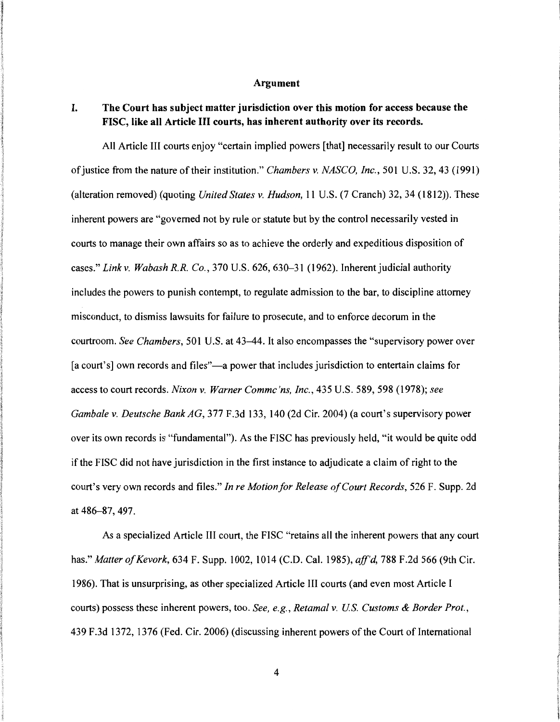#### Argument

## I. The Court has subject matter jurisdiction over this motion for access because the FISC, like all Article Ill courts, has inherent authority over its records.

All Article III courts enjoy "certain implied powers [that] necessarily result to our Courts of justice from the nature of their institution." *Chambers v. NASCO, Inc.,* 501 U.S. 32, 43 (1991) (alteration removed) (quoting *United States v. Hudson,* 11 U.S. (7 Cranch) 32, 34 (1812)). These inherent powers are "governed not by rule or statute but by the control necessarily vested in courts to manage their own affairs so as to achieve the orderly and expeditious disposition of cases." *Linkv. Wabash R.R. Co.,* 370 U.S. 626, 630-31 (1962). Inherentjudicial authority includes the powers to punish contempt, to regulate admission to the bar, to discipline attorney misconduct, to dismiss lawsuits for failure to prosecute, and to enforce decorum in the courtroom. *See Chambers,* 501 U.S. at 43-44. It also encompasses the "supervisory power over [a court's] own records and files"—a power that includes jurisdiction to entertain claims for access to court records. *Nixon v. Warner Commc 'ns, Inc.,* 435 U.S. 589, 598 (1978); *see Gambale v. Deutsche Bank AG,* 377 F.3d 133, 140 (2d Cir. 2004) (a court's supervisory power over its own records is "fundamental"). As the FISC has previously held, "it would be quite odd if the FISC did not have jurisdiction in the first instance to adjudicate a claim of right to the court's very own records and files." *In re Motion for Release of Court Records,* 526 F. Supp. 2d at 486-87, 497.

As a specialized Article III court, the FISC "retains all the inherent powers that any court has." *Matter of Kevork,* 634 F. Supp. 1002, 1014 (C.D. Cal. 1985), *aff'd,* 788 F.2d 566 (9th Cir. 1986). That is unsurprising, as other specialized Article III courts (and even most Article I courts) possess these inherent powers, too. *See, e.g., Retamal v. US. Customs* & *Border Prot.,*  439 F.3d 1372, 1376 (Fed. Cir. 2006) (discussing inherent powers of the Court of International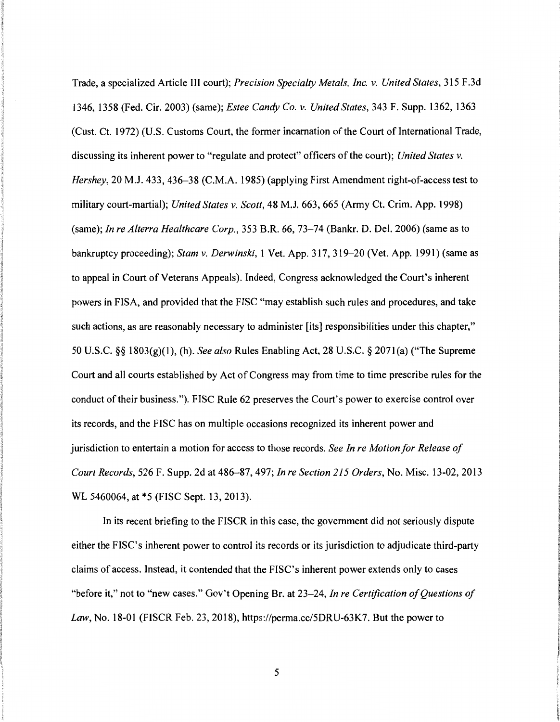Trade, a specialized Article III court); *Precision Specialty Metals, Inc. v. United States,* 315 F .3d 1346, 1358 (Fed. Cir. 2003) (same); *Estee Candy Co. v. United States,* 343 F. Supp. 1362, 1363 (Cust. Ct. 1972) (U.S. Customs Court, the former incarnation of the Court of International Trade, discussing its inherent power to "regulate and protect" officers of the court); *United States v. Hershey,* 20 M.J. 433, 436-38 (C.M.A. 1985) (applying First Amendment right-of-access test to military court-martial); *United States v. Scott,* 48 M.J. 663, 665 (Army Ct. Crim. App. 1998) (same); *In re Alterra Healthcare Corp.,* 353 B.R. 66, 73-74 (Bankr. D. Del. 2006) (same as to bankruptcy proceeding); *Stam v. Derwinski,* 1 Vet. App. 317, 319-20 (Vet. App. 1991) (same as to appeal in Court of Veterans Appeals). Indeed, Congress acknowledged the Court's inherent powers in FISA, and provided that the FISC "may establish such rules and procedures, and take such actions, as are reasonably necessary to administer [its] responsibilities under this chapter," 50 U.S.C. *§§* 1803(g)(l), (h). *See also* Rules Enabling Act, 28 U.S.C. *§* 207l(a) ("The Supreme Court and all courts established by Act of Congress may from time to time prescribe rules for the conduct of their business."). FISC Rule 62 preserves the Court's power to exercise control over its records, and the FISC has on multiple occasions recognized its inherent power and jurisdiction to entertain a motion for access to those records. *See In re Motion for Release of Court Records,* 526 F. Supp. 2d at 486-87, 497; *In re Section 215 Orders,* No. Misc. 13-02, 2013 WL 5460064, at \*5 (FISC Sept. 13, 2013).

In its recent briefing to the FISCR in this case, the government did not seriously dispute either the FISC's inherent power to control its records or its jurisdiction to adjudicate third-party claims of access. Instead, it contended that the FISC's inherent power extends only to cases "before it," not to "new cases." Gov't Opening Br. at 23-24, *In re Certification of Questions of Law,* No. 18-01 (FISCR Feb. 23, 2018), https://perma.cc/5DRU-63K7. But the power to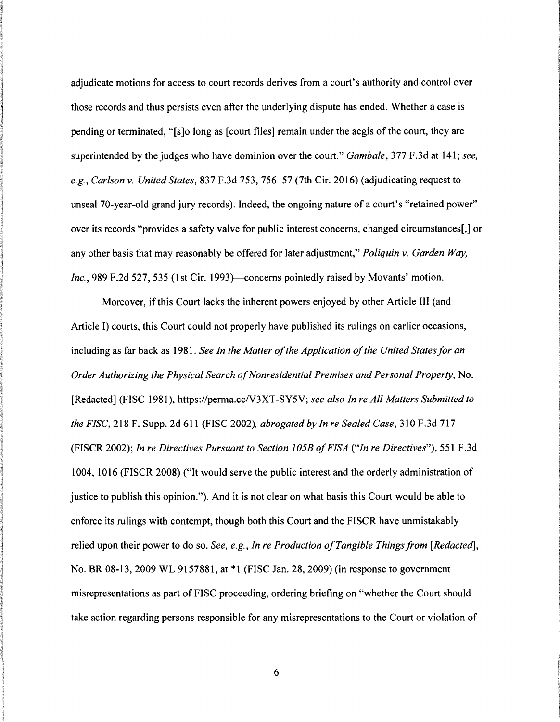adjudicate motions for access to court records derives from a court's authority and control over those records and thus persists even after the underlying dispute has ended. Whether a case is pending or terminated, "[s]o long as [court files] remain under the aegis of the court, they are superintended by the judges who have dominion over the court." *Gambale*, 377 F.3d at 141; *see*, *e.g., Carlson v. United States,* 837 F.3d 753, 756-57 (7th Cir. 2016) (adjudicating request to unseal 70-year-old grand jury records). Indeed, the ongoing nature of a court's "retained power" over its records "provides a safety valve for public interest concerns, changed circumstances[,] or any other basis that may reasonably be offered for later adjustment," *Poliquin v. Garden Way, Inc.*, 989 F.2d 527, 535 (1st Cir. 1993)—concerns pointedly raised by Movants' motion.

Moreover, if this Court lacks the inherent powers enjoyed by other Article III (and Article I) courts, this Court could not properly have published its rulings on earlier occasions, including as far back as 1981. *See In the Matter of the Application of the United States for an Order Authorizing the Physical Search of Nonresidential Premises and Personal Property,* No. [Redacted] (FISC 1981), https://perma.ccN3XT-SY5V; *see also In re All Matters Submitted to the FISC,* 218 F. Supp. 2d 611 (FISC 2002), *abrogated by In re Sealed Case,* 310 F .3d 717 (FISCR 2002); *In re Directives Pursuant to Section 105B of FISA ("In re Directives"),* 551 F .3d 1004, 1016 (FISCR 2008) ("It would serve the public interest and the orderly administration of justice to publish this opinion."). And it is not clear on what basis this Court would be able to enforce its rulings with contempt, though both this Court and the FISCR have unmistakably relied upon their power to do so. *See, e.g., In re Production of Tangible Things.from [Redacted],*  No. BR 08-13, 2009 WL 9157881, at \*1 (FISC Jan. 28, 2009) (in response to government misrepresentations as part of FISC proceeding, ordering briefing on "whether the Court should take action regarding persons responsible for any misrepresentations to the Court or violation of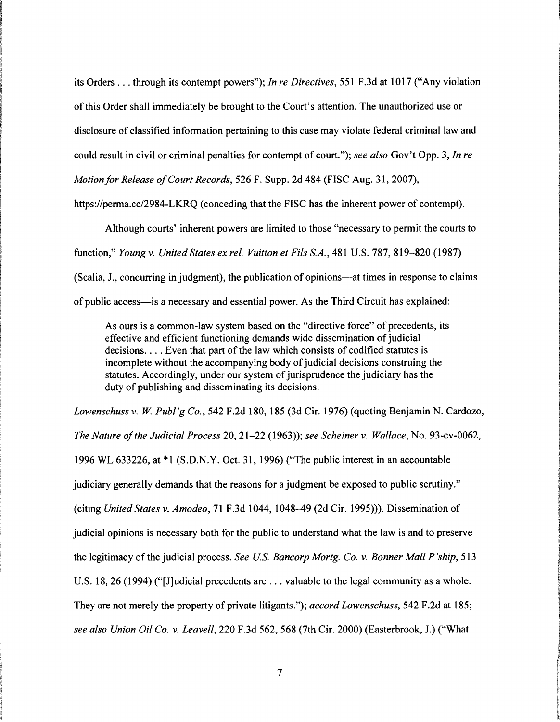its Orders ... through its contempt powers"); *In re Directives,* 551 F .3d at 1017 ("Any violation of this Order shall immediately be brought to the Court's attention. The unauthorized use or disclosure of classified information pertaining to this case may violate federal criminal law and could result in civil or criminal penalties for contempt of court."); *see also* Gov't Opp. 3, *In re Motion/or Release of Court Records,* 526 F. Supp. 2d 484 (FISC Aug. 31, 2007),

https://perma.cc/2984-LKRQ (conceding that the FISC has the inherent power of contempt).

Although courts' inherent powers are limited to those "necessary to permit the courts to function," *Young v. United States ex rel. Vuitton et Fils S.A.,* 481 U.S. 787, 819-820 (1987) (Scalia, J., concurring in judgment), the publication of opinions—at times in response to claims of public access-is a necessary and essential power. As the Third Circuit has explained:

As ours is a common-law system based on the "directive force" of precedents, its effective and efficient functioning demands wide dissemination of judicial decisions.... Even that part of the law which consists of codified statutes is incomplete without the accompanying body of judicial decisions construing the statutes. Accordingly, under our system of jurisprudence the judiciary has the duty of publishing and disseminating its decisions.

*Lowenschuss v.* W. *Publ'g Co.,* 542 F.2d 180, 185 (3d Cir. 1976) (quoting Benjamin N. Cardozo, *The Nature of the Judicial Process* 20, 21-22 (1963)); *see Scheiner v. Wallace,* No. 93-cv-0062, 1996 WL 633226, at \* 1 (S.D.N. Y. Oct. 31, 1996) ("The public interest in an accountable judiciary generally demands that the reasons for a judgment be exposed to public scrutiny." (citing *United States v. Amodeo,* 71F.3d1044, 1048-49 (2d Cir. 1995))). Dissemination of judicial opinions is necessary both for the public to understand what the law is and to preserve the legitimacy of the judicial process. *See US. Bancorp Mortg. Co. v. Bonner Mall P 'ship,* 513 U.S. 18, 26 (1994) ("[J]udicial precedents are ... valuable to the legal community as a whole. They are not merely the property of private litigants."); *accord Lowenschuss,* 542 F.2d at 185; *see also Union Oil Co. v. Leavell,* 220 F.3d 562, 568 (7th Cir. 2000) (Easterbrook, J.) ("What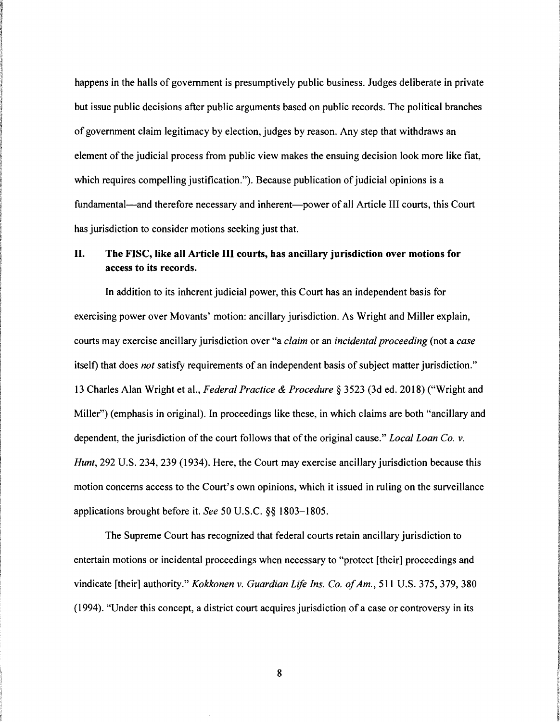happens in the halls of government is presumptively public business. Judges deliberate in private but issue public decisions after public arguments based on public records. The political branches of government claim legitimacy by election, judges by reason. Any step that withdraws an element of the judicial process from public view makes the ensuing decision look more like fiat, which requires compelling justification."). Because publication of judicial opinions is a fundamental—and therefore necessary and inherent—power of all Article III courts, this Court has jurisdiction to consider motions seeking just that.

### II. The FISC, like all Article III courts, has ancillary jurisdiction over motions for access to its records.

In addition to its inherent judicial power, this Court has an independent basis for exercising power over Movants' motion: ancillary jurisdiction. As Wright and Miller explain, courts may exercise ancillary jurisdiction over "a *claim* or an *incidental proceeding* (not a *case*  itself) that does *not* satisfy requirements of an independent basis of subject matter jurisdiction." 13 Charles Alan Wright et al., *Federal Practice* & *Procedure* § 3523 (3d ed. 2018) ("Wright and Miller") (emphasis in original). In proceedings like these, in which claims are both "ancillary and dependent, the jurisdiction of the court follows that of the original cause." *Local Loan Co. v. Hunt,* 292 U.S. 234, 239 (1934). Here, the Court may exercise ancillary jurisdiction because this motion concerns access to the Court's own opinions, which it issued in ruling on the surveillance applications brought before it. *See* 50 U.S.C. §§ 1803-1805.

**In Additional INVESTIGATION Musicipal Accounts INVESTIGATION** Professional and **Victorian in Victorian pro**cravements PACK/WIN.HOM/0997/999992

**INTERNATIONAL PROPERTY** 

Village Cart Andrea School

**Inchession of the Action including** 

**INTERNATIONAL CONTINUES industrial ISSUED** Krak Total Military St. *<i><u><b>PERDITY</u>*</u> **In South Art** ! **Interested** 

International Charlot Constitution r {' **Information of Socialists** '

The Supreme Court has recognized that federal courts retain ancillary jurisdiction to entertain motions or incidental proceedings when necessary to "protect [their] proceedings and vindicate [their] authority." *Kokkonen v. Guardian Life Ins. Co. of Am.,* 511 U.S. 375, 379, 380 (1994). "Under this concept, a district court acquires jurisdiction of a case or controversy in its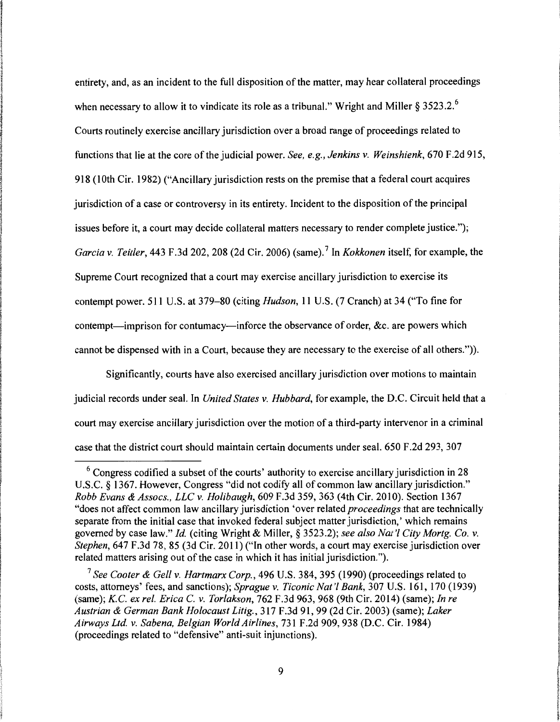entirety, and, as an incident to the full disposition of the matter, may hear collateral proceedings when necessary to allow it to vindicate its role as a tribunal." Wright and Miller § 3523.2.<sup>6</sup> Courts routinely exercise ancillary jurisdiction over a broad range of proceedings related to functions that lie at the core of the judicial power. *See, e.g., Jenkins v. Weinshienk,* 670 F.2d 915, 918 (10th Cir. 1982) ("Ancillary jurisdiction rests on the premise that a federal court acquires jurisdiction of a case or controversy in its entirety. Incident to the disposition of the principal issues before it, a court may decide collateral matters necessary to render complete justice."); *Garcia v. Teitler,* 443 F .3d 202, 208 (2d Cir. 2006) (same). 7 In *Kokkonen* itself, for example, the Supreme Court recognized that a court may exercise ancillary jurisdiction to exercise its contempt power. 511 U.S. at 379-80 (citing *Hudson,* 11 U.S. (7 Cranch) at 34 ("To fine for contempt-imprison for contumacy-inforce the observance of order, &c. are powers which cannot be dispensed with in a Court, because they are necessary to the exercise of all others.")).

Significantly, courts have also exercised ancillary jurisdiction over motions to maintain judicial records under seal. In *United States v. Hubbard,* for example, the D.C. Circuit held that a court may exercise ancillary jurisdiction over the motion of a third-party intervenor in a criminal case that the district court should maintain certain documents under seal. 650 F.2d 293, 307

 $6$  Congress codified a subset of the courts' authority to exercise ancillary jurisdiction in 28 U.S.C. § 1367. However, Congress "did not codify all of common law ancillary jurisdiction." *Robb Evans* & *Assocs., LLC v. Holibaugh,* 609 F.3d 359, 363 (4th Cir. 2010). Section 1367 "does not affect common law ancillary jurisdiction 'over related *proceedings* that are technically separate from the initial case that invoked federal subject matter jurisdiction,' which remains governed by case law." *Id.* (citing Wright & Miller,§ 3523.2); *see also Nat'/ City Mortg. Co. v. Stephen*, 647 F.3d 78, 85 (3d Cir. 2011) ("In other words, a court may exercise jurisdiction over related matters arising out of the case in which it has initial jurisdiction.").

<sup>7</sup>*See Cooter* & *Gell v. Hartmarx Corp.,* 496 U.S. 384, 395 (1990) (proceedings related to costs, attorneys' fees, and sanctions); *Sprague v. Ticonic Nat'/ Bank,* 307 U.S. 161, 170 (1939) (same); *K.C. ex rel. Erica* C. *v. Torlakson,* 762 F.3d 963, 968 (9th Cir. 2014) (same); *In re Austrian* & *German Bank Holocaust Litig.,* 317 F.3d 91, 99 (2d Cir. 2003) (same); *Laker Airways Ltd. v. Sabena, Belgian World Airlines,* 731 F.2d 909, 938 (D.C. Cir. 1984) (proceedings related to "defensive" anti-suit injunctions).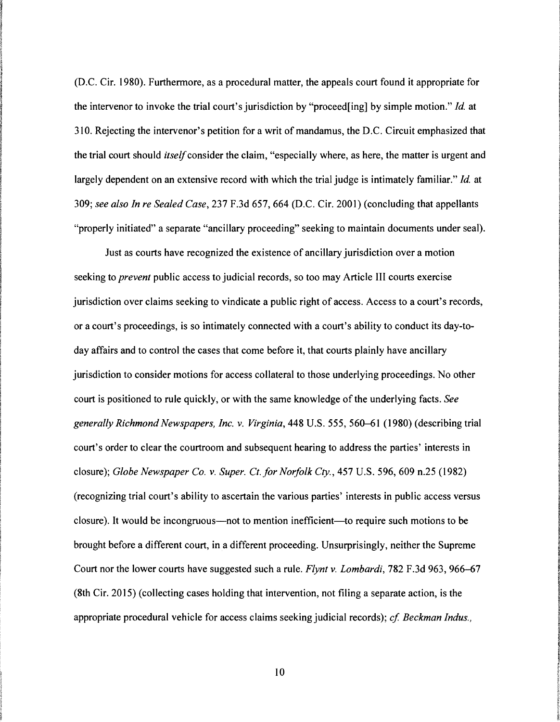(D.C. Cir. 1980). Furthermore, as a procedural matter, the appeals court found it appropriate for the intervenor to invoke the trial court's jurisdiction by "proceed[ing] by simple motion." *Id.* at 310. Rejecting the intervenor's petition for a writ of mandamus, the D.C. Circuit emphasized that the trial court should *itself* consider the claim, "especially where, as here, the matter is urgent and largely dependent on an extensive record with which the trial judge is intimately familiar." *Id.* at 309; *see also In re Sealed Case,* 237 F.3d 657, 664 (D.C. Cir. 2001) (concluding that appellants "properly initiated" a separate "ancillary proceeding" seeking to maintain documents under seal).

Just as courts have recognized the existence of ancillary jurisdiction over a motion seeking to *prevent* public access to judicial records, so too may Article III courts exercise jurisdiction over claims seeking to vindicate a public right of access. Access to a court's records, or a court's proceedings, is so intimately connected with a court's ability to conduct its day-today affairs and to control the cases that come before it, that courts plainly have ancillary jurisdiction to consider motions for access collateral to those underlying proceedings. No other court is positioned to rule quickly, or with the same knowledge of the underlying facts. *See generally Richmond Newspapers, Inc. v. Virginia,* 448 U.S. 555, 560-61 (1980) (describing trial court's order to clear the courtroom and subsequent hearing to address the parties' interests in closure); *Globe Newspaper Co. v. Super. Ct.for Norfolk Cty.,* 457 U.S. 596, 609 n.25 (1982) (recognizing trial court's ability to ascertain the various parties' interests in public access versus closure). It would be incongruous—not to mention inefficient—to require such motions to be brought before a different court, in a different proceeding. Unsurprisingly, neither the Supreme Court nor the lower courts have suggested such a rule. *Flynt v. Lombardi,* 782 F .3d 963, 966-67 (8th Cir. 2015) (collecting cases holding that intervention, not filing a separate action, is the appropriate procedural vehicle for access claims seeking judicial records); *cf Beckman Indus.,*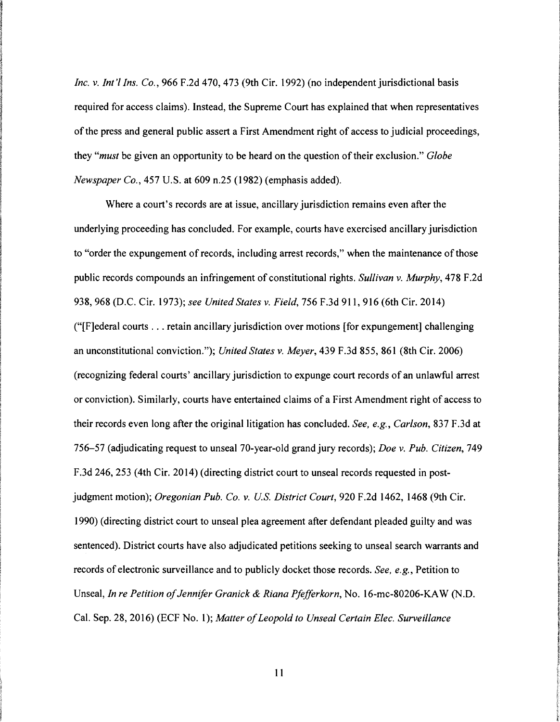*Inc. v. lnt'l Ins. Co.,* 966 F.2d 470, 473 (9th Cir. 1992) (no independent jurisdictional basis required for access claims). Instead, the Supreme Court has explained that when representatives of the press and general public assert a First Amendment right of access to judicial proceedings, they *"must* be given an opportunity to be heard on the question of their exclusion." *Globe Newspaper Co.,* 457 U.S. at 609 n.25 (1982) (emphasis added).

Where a court's records are at issue, ancillary jurisdiction remains even after the underlying proceeding has concluded. For example, courts have exercised ancillary jurisdiction to "order the expungement of records, including arrest records," when the maintenance of those public records compounds an infringement of constitutional rights. *Sullivan v. Murphy,* 4 78 F .2d 938, 968 (D.C. Cir. 1973); *see United States v. Field,* 756 F.3d 911, 916 (6th Cir. 2014) ("[F]ederal courts ... retain ancillary jurisdiction over motions [for expungement] challenging an unconstitutional conviction."); *United States v. Meyer,* 439 F.3d 855, 861 (8th Cir. 2006) (recognizing federal courts' ancillary jurisdiction to expunge court records of an unlawful arrest or conviction). Similarly, courts have entertained claims of a First Amendment right of access to their records even long after the original litigation has concluded. *See, e.g., Carlson,* 837 F.3d at 756-57 (adjudicating request to unseal 70-year-old grand jury records); *Doe v. Pub. Citizen,* 749 F.3d 246, 253 (4th Cir. 2014) (directing district court to unseal records requested in postjudgment motion); *Oregonian Pub. Co. v. U.S. District Court*, 920 F.2d 1462, 1468 (9th Cir. 1990) (directing district court to unseal plea agreement after defendant pleaded guilty and was sentenced). District courts have also adjudicated petitions seeking to unseal search warrants and records of electronic surveillance and to publicly docket those records. *See, e.g.,* Petition to Unseal, *In re Petition of Jennifer Granick & Riana Pfefferkorn*, No. 16-mc-80206-KAW (N.D. Cal. Sep. 28, 2016) (ECF No. 1 ); *Matter of Leopold to Unseal Certain Elec. Surveillance*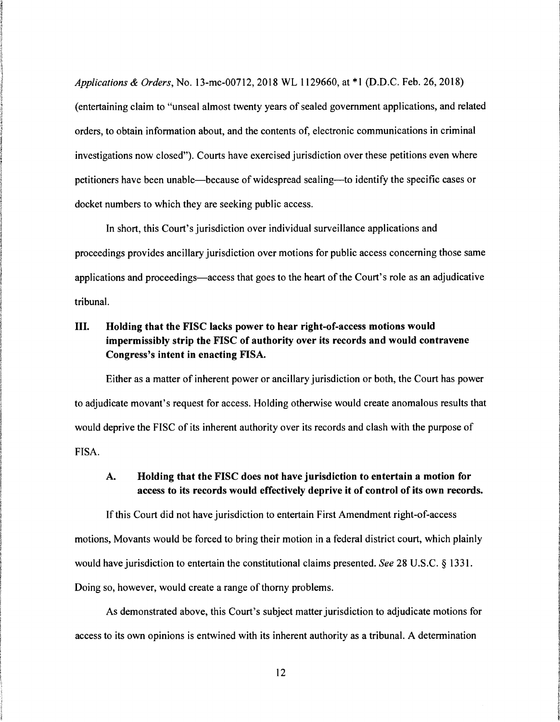*Applications* & *Orders,* No. 13-mc-00712, 2018 WL 1129660, at \*1 (D.D.C. Feb. 26, 2018) (entertaining claim to "unseal almost twenty years of sealed government applications, and related orders, to obtain information about, and the contents of, electronic communications in criminal investigations now closed"). Courts have exercised jurisdiction over these petitions even where petitioners have been unable-because of widespread sealing-to identify the specific cases or docket numbers to which they are seeking public access.

In short, this Court's jurisdiction over individual surveillance applications and proceedings provides ancillary jurisdiction over motions for public access concerning those same applications and proceedings-access that goes to the heart of the Court's role as an adjudicative tribunal.

# III. Holding that the FISC lacks power to hear right-of-access motions would impermissibly strip the FISC of authority over its records and would contravene Congress's intent in enacting FISA.

Either as a matter of inherent power or ancillary jurisdiction or both, the Court has power to adjudicate movant's request for access. Holding otherwise would create anomalous results that would deprive the FISC of its inherent authority over its records and clash with the purpose of FISA.

### A. Holding that the FISC does not have jurisdiction to entertain a motion for access to its records would effectively deprive it of control of its own records.

If this Court did not have jurisdiction to entertain First Amendment right-of-access motions, Movants would be forced to bring their motion in a federal district court, which plainly would have jurisdiction to entertain the constitutional claims presented. *See* 28 U .S.C. § 1331. Doing so, however, would create a range of thorny problems.

As demonstrated above, this Court's subject matter jurisdiction to adjudicate motions for access to its own opinions is entwined with its inherent authority as a tribunal. A determination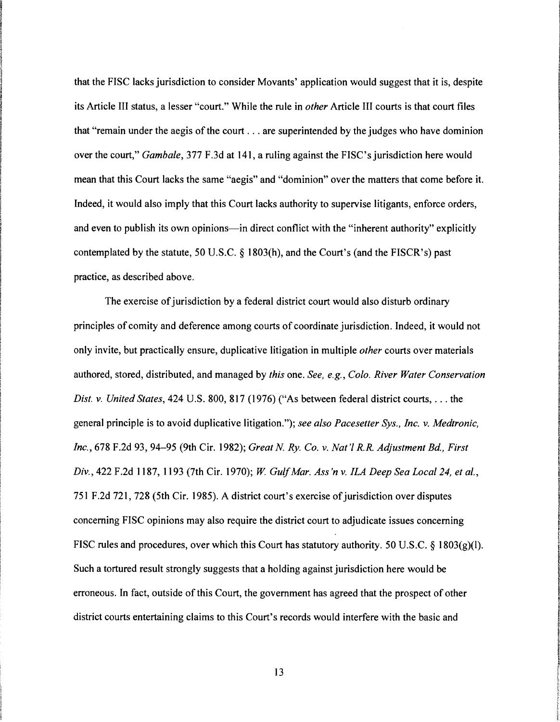that the FISC lacks jurisdiction to consider Movants' application would suggest that it is, despite its Article III status, a lesser "court." While the rule in *other* Article III courts is that court files that "remain under the aegis of the court ... are superintended by the judges who have dominion over the court," *Gambale*, 377 F.3d at 141, a ruling against the FISC's jurisdiction here would mean that this Court lacks the same "aegis" and "dominion" over the matters that come before it. Indeed, it would also imply that this Court lacks authority to supervise litigants, enforce orders, and even to publish its own opinions-in direct conflict with the "inherent authority" explicitly contemplated by the statute, 50 U.S.C. *§* 1803(h), and the Court's (and the FISCR's) past practice, as described above.

**www.autoch.com/www.autoch.com** the concentractives

**Recording to Automobile ISSUED: AND THE CONTRACTOR** 

**Vertex Redeem and Colombia INVESTIGATION INTERNATIONAL CONTROL ICO MARK WANTED** 

**INVESTIGATION** 

istorial and resonance

**B-STVACTS-VANTUSERY INTERNATION 120.00** الا<br>الألقا *INSURFECTION* **" IS TO PERFECT THREE IS TOO** 

i **Kingdom International** a the fact ~ ~

**IN AN AN AN AN AN AN AN AN AN AN AN AN the Access of** ~ • 10 000 000 000 000 \$:

*<i><u>thermal controls*</u> **INDIANAMEN Information** *<i><u>the Channel</u>* **INTERNATION** 

**face-index INTERNATIONAL** , ~

The exercise of jurisdiction by a federal district court would also disturb ordinary principles of comity and deference among courts of coordinate jurisdiction. Indeed, it would not only invite, but practically ensure, duplicative litigation in multiple *other* courts over materials authored, stored, distributed, and managed by *this* one. *See, e.g., Colo. River Water Conservation Dist. v. United States,* 424 U.S. 800, 817 (1976) ("As between federal district courts, ... the general principle is to avoid duplicative litigation."); *see also Pacesetter Sys., Inc. v. Medtronic, Inc.,* 678 F .2d 93, 94-95 (9th Cir. 1982); *Great N Ry. Co. v. Nat 'l R.R. Adjustment Bd., First Div.,* 422 F .2d 1187, 1193 (7th Cir. 1970); W. *Gulf Mar. Ass 'n v. ILA Deep Sea Local 24, et al.,*  751 F.2d 721, 728 (5th Cir. 1985). A district court's exercise of jurisdiction over disputes concerning FISC opinions may also require the district court to adjudicate issues concerning FISC rules and procedures, over which this Court has statutory authority. 50 U.S.C. *§* 1803(g)(l). Such a tortured result strongly suggests that a holding against jurisdiction here would be erroneous. In fact, outside of this Court, the government has agreed that the prospect of other district courts entertaining claims to this Court's records would interfere with the basic and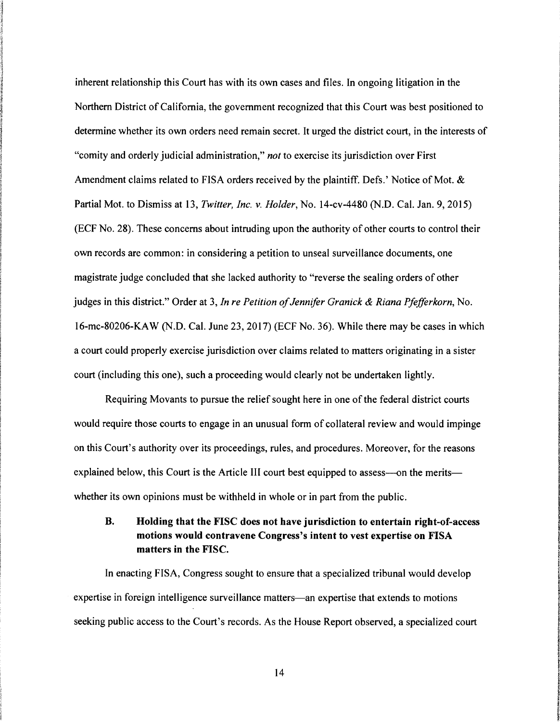inherent relationship this Court has with its own cases and files. In ongoing litigation in the Northern District of California, the government recognized that this Court was best positioned to determine whether its own orders need remain secret. It urged the district court, in the interests of "comity and orderly judicial administration," *not* to exercise its jurisdiction over First Amendment claims related to FISA orders received by the plaintiff. Defs.' Notice of Mot. & Partial Mot. to Dismiss at 13, *Twitter, Inc. v. Holder,* No. 14-cv-4480 (N.D. Cal. Jan. 9, 2015) (ECF No. 28). These concerns about intruding upon the authority of other courts to control their own records are common: in considering a petition to unseal surveillance documents, one magistrate judge concluded that she lacked authority to "reverse the sealing orders of other judges in this district." Order at 3, *In re Petition of Jennifer Granick* & *Riana Pfefferkorn,* No. 16-mc-80206-KA W (N.D. Cal. June 23, 2017) (ECF No. 36). While there may be cases in which a court could properly exercise jurisdiction over claims related to matters originating in a sister court (including this one), such a proceeding would clearly not be undertaken lightly.

Requiring Movants to pursue the relief sought here in one of the federal district courts would require those courts to engage in an unusual form of collateral review and would impinge on this Court's authority over its proceedings, rules, and procedures. Moreover, for the reasons explained below, this Court is the Article III court best equipped to assess---on the merits-whether its own opinions must be withheld in whole or in part from the public.

## B. Holding that the FISC does not have jurisdiction to entertain right-of-access motions would contravene Congress's intent to vest expertise on FISA matters in the FISC.

In enacting FISA, Congress sought to ensure that a specialized tribunal would develop expertise in foreign intelligence surveillance matters-an expertise that extends to motions seeking public access to the Court's records. As the House Report observed, a specialized court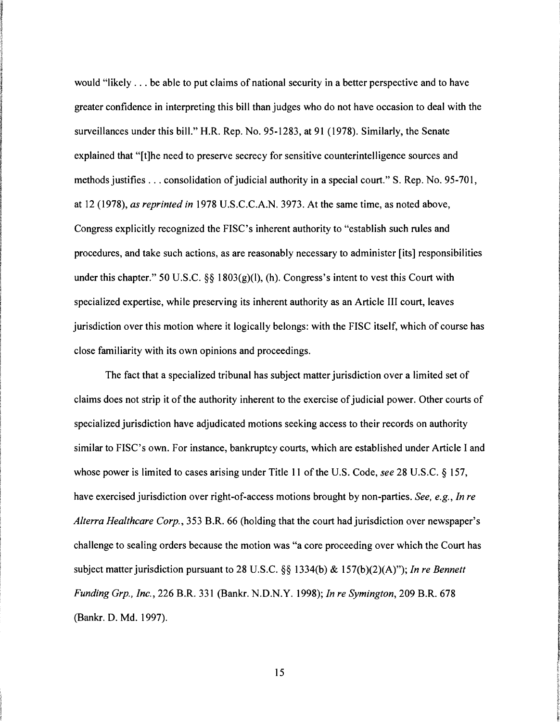would "likely ... be able to put claims of national security in a better perspective and to have greater confidence in interpreting this bill than judges who do not have occasion to deal with the surveillances under this bill." H.R. Rep. No. 95-1283, at 91 (1978). Similarly, the Senate explained that "[t]he need to preserve secrecy for sensitive counterintelligence sources and methods justifies ... consolidation of judicial authority in a special court." S. Rep. No. 95-701, at 12 (1978), *as reprinted in* 1978 U.S.C.C.A.N. 3973. At the same time, as noted above, Congress explicitly recognized the FISC's inherent authority to "establish such rules and procedures, and take such actions, as are reasonably necessary to administer [its] responsibilities under this chapter." 50 U.S.C.  $\S$ § 1803(g)(l), (h). Congress's intent to vest this Court with specialized expertise, while preserving its inherent authority as an Article III court, leaves jurisdiction over this motion where it logically belongs: with the FISC itself, which of course has close familiarity with its own opinions and proceedings.

in the second con-**Increase control** *SALES* **Services** 

**INSTRUCTION** IN AN OVERWORKS

**ISBN 0-100-0-0-0-0-0-0-0-0** 

**INCORPORATION** PETROLOGICALLY **Including Property Act on** Ontario Ra Assemblations.com **STRANG INTERNATIONAL ARRAIGN PARTNERS INTERNATION** I ' **IMPROVEMENT** 

*<i><b><i>DESTRUSSION* **INTERNATIONAL** 

**IN THE CONTRACTOR OF A STATE OF A STATE OF A STATE OF A STATE OF A STATE OF A STATE OF A STATE OF A STATE OF A** 

**INTERNATIONAL INCORPORATION INVESTIGATION** 

**INSURANCES INSTRUCTION ISLANDING** £ **industrial Including Contracts The property of** !

The fact that a specialized tribunal has subject matter jurisdiction over a limited set of claims does not strip it of the authority inherent to the exercise of judicial power. Other courts of specialized jurisdiction have adjudicated motions seeking access to their records on authority similar to FISC's own. For instance, bankruptcy courts, which are established under Article I and whose power is limited to cases arising under Title 11 of the U.S. Code, *see* 28 U.S.C. § 157, have exercised jurisdiction over right-of-access motions brought by non-parties. *See, e.g., In re Alterra Healthcare Corp.,* 353 B.R. 66 (holding that the court had jurisdiction over newspaper's challenge to sealing orders because the motion was "a core proceeding over which the Court has subject matter jurisdiction pursuant to 28 U.S.C. §§ 1334(b) & 157(b)(2)(A)"); *In re Bennett Funding Grp., Inc.,* 226 B.R. 331 (Bankr. N.D.N.Y. 1998); *In re Symington,* 209 B.R. 678 (Bankr. D. Md. 1997).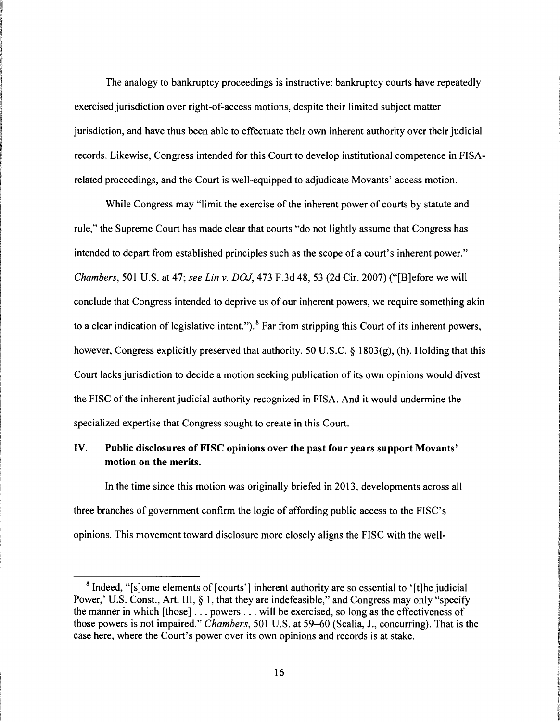The analogy to bankruptcy proceedings is instructive: bankruptcy courts have repeatedly exercised jurisdiction over right-of-access motions, despite their limited subject matter jurisdiction, and have thus been able to effectuate their own inherent authority over their judicial records. Likewise, Congress intended for this Court to develop institutional competence in FISArelated proceedings, and the Court is well-equipped to adjudicate Movants' access motion.

While Congress may "limit the exercise of the inherent power of courts by statute and rule," the Supreme Court has made clear that courts "do not lightly assume that Congress has intended to depart from established principles such as the scope of a court's inherent power." *Chambers,* 501 U.S. at 47; *see Lin v. DOJ,* 473 F.3d 48, 53 (2d Cir. 2007) ("[B]efore we will conclude that Congress intended to deprive us of our inherent powers, we require something akin to a clear indication of legislative intent."). 8 Far from stripping this Court of its inherent powers, however, Congress explicitly preserved that authority. 50 U.S.C. § l 803(g), (h). Holding that this Court lacks jurisdiction to decide a motion seeking publication of its own opinions would divest the FISC of the inherent judicial authority recognized in FISA. And it would undermine the specialized expertise that Congress sought to create in this Court.

## IV. Public disclosures of FISC opinions over the past four years support Movants' motion on the merits.

In the time since this motion was originally briefed in 2013, developments across all three branches of government confirm the logic of affording public access to the FISC's opinions. This movement toward disclosure more closely aligns the FISC with the well-

<sup>&</sup>lt;sup>8</sup> Indeed, "[s]ome elements of [courts'] inherent authority are so essential to '[t]he judicial Power,' U.S. Const., Art. III, § 1, that they are indefeasible," and Congress may only "specify the manner in which [those] ... powers ... will be exercised, so long as the effectiveness of those powers is not impaired." *Chambers,* 501 U.S. at 59-60 (Scalia, J., concurring). That is the case here, where the Court's power over its own opinions and records is at stake.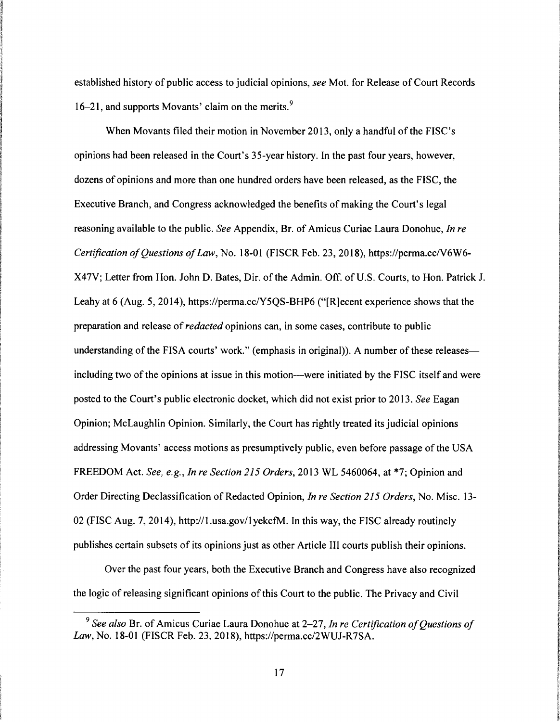established history of public access to judicial opinions, *see* Mot. for Release of Court Records 16–21, and supports Movants' claim on the merits.<sup>9</sup>

When Movants filed their motion in November 2013, only a handful of the FISC's opinions had been released in the Court's 35-year history. In the past four years, however, dozens of opinions and more than one hundred orders have been released, as the FISC, the Executive Branch, and Congress acknowledged the benefits of making the Court's legal reasoning available to the public. *See* Appendix, Br. of Amicus Curiae Laura Donohue, *In re Certification of Questions of Law, No.* 18-01 (FISCR Feb. 23, 2018), https://perma.cc/V6W6-X47V; Letter from Hon. John D. Bates, Dir. of the Admin. Off. of U.S. Courts, to Hon. Patrick J. Leahy at 6 (Aug. 5, 2014), https://perma.cc/Y5QS-BHP6 ("[R]ecent experience shows that the preparation and release of *redacted* opinions can, in some cases, contribute to public understanding of the FISA courts' work." (emphasis in original)). A number of these releasesincluding two of the opinions at issue in this motion-were initiated by the FISC itself and were posted to the Court's public electronic docket, which did not exist prior to 2013. *See* Eagan Opinion; McLaughlin Opinion. Similarly, the Court has rightly treated its judicial opinions addressing Movants' access motions as presumptively public, even before passage of the USA FREEDOM Act. *See, e.g., In re Section 215 Orders,* 2013 WL 5460064, at \*7; Opinion and Order Directing Declassification of Redacted Opinion, *In re Section 215 Orders,* No. Misc. 13- 02 (FISC Aug. 7, 2014), http://l.usa.gov/lyekctM. In this way, the FISC already routinely publishes certain subsets of its opinions just as other Article III courts publish their opinions.

Over the past four years, both the Executive Branch and Congress have also recognized the logic of releasing significant opinions of this Court to the public. The Privacy and Civil

<sup>9</sup>*See also* Br. of Amicus Curiae Laura Donohue at 2-27, *In re Certification of Questions of Law,* No. 18-01 (FISCR Feb. 23, 2018), https://perma.cc/2WUJ-R7SA.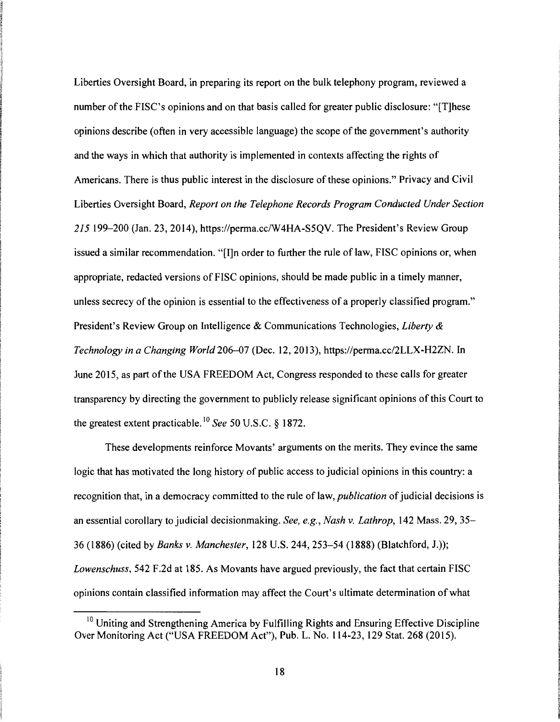Liberties Oversight Board, in preparing its report on the bulk telephony program, reviewed a number of the FISC's opinions and on that basis called for greater public disclosure: "[T]hese opinions describe (often in very accessible language) the scope of the government's authority and the ways in which that authority is implemented in contexts affecting the rights of Americans. There is thus public interest in the disclosure of these opinions." Privacy and Civil Liberties Oversight Board, *Report on the Telephone Records Program Conducted Under Section 215* 199-200 (Jan. 23, 2014), https://perma.cc/W4HA-S5QV. The President's Review Group issued a similar recommendation. "[I]n order to further the rule of law, FISC opinions or, when appropriate, redacted versions of FISC opinions, should be made public in a timely manner, unless secrecy of the opinion is essential to the effectiveness of a properly classified program." President's Review Group on Intelligence & Communications Technologies, *Liberty* & *Technology in a Changing World* 206-07 (Dec. 12, 2013), https://perma.cc/2LLX-H2ZN. In June 2015, as part of the USA FREEDOM Act, Congress responded to these calls for greater transparency by directing the government to publicly release significant opinions of this Court to the greatest extent practicable. 10 *See* 50 U.S.C. § 1872.

These developments reinforce Movants' arguments on the merits. They evince the same logic that has motivated the long history of public access to judicial opinions in this country: a recognition that, in a democracy committed to the rule of law, *publication* of judicial decisions is an essential corollary to judicial decisionmaking. *See, e.g., Nash v. Lathrop,* 142 Mass. 29, 35- 36 (1886) (cited by *Banks v. Manchester,* 128 U.S. 244, 253-54 (1888) (Blatchford, J.)); *Lowenschuss,* 542 F.2d at 185. As Movants have argued previously, the fact that certain FISC opinions contain classified information may affect the Court's ultimate determination of what

<sup>&</sup>lt;sup>10</sup> Uniting and Strengthening America by Fulfilling Rights and Ensuring Effective Discipline Over Monitoring Act ("USA FREEDOM Act"), Pub. L. No. 114-23, 129 Stat. 268 (2015).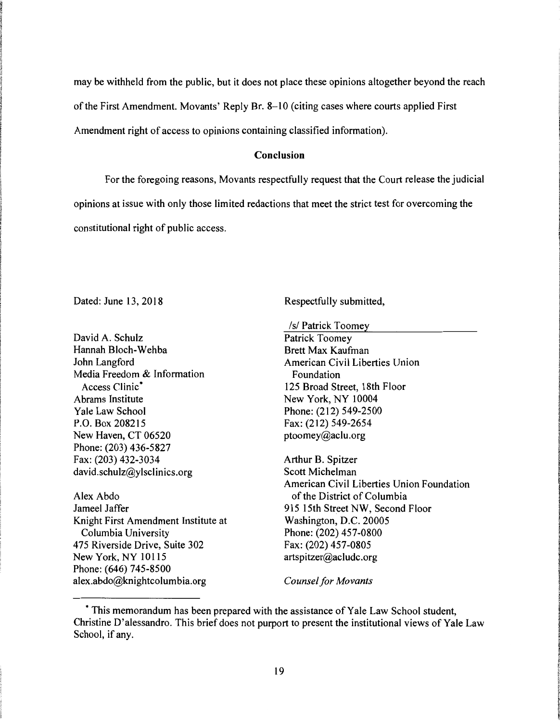may be withheld from the public, but it does not place these opinions altogether beyond the reach of the First Amendment. Movants' Reply Br. 8-10 (citing cases where courts applied First Amendment right of access to opinions containing classified information).

### **Conclusion**

For the foregoing reasons, Movants respectfully request that the Court release the judicial opinions at issue with only those limited redactions that meet the strict test for overcoming the constitutional right of public access.

Dated: June 13, 2018

David A. Schulz Hannah Bloch-Wehba John Langford Media Freedom & Information Access Clinic<sup>\*</sup> Abrams Institute Yale Law School P.O. Box 208215 New Haven, CT 06520 Phone: (203) 436-5827 Fax: (203) 432-3034 david.schulz@ylsclinics.org

Alex Abdo Jameel Jaffer Knight First Amendment Institute at Columbia University 475 Riverside Drive, Suite 302 New York, NY 10115 Phone: (646) 745-8500 alex.abdo@knightcolumbia.org

Respectfully submitted,

*Isl* Patrick Toomey

Patrick Toomey Brett Max Kaufman American Civil Liberties Union Foundation 125 Broad Street, 18th Floor New York, NY 10004 Phone: (212) 549-2500 Fax: (212) 549-2654 ptoomey@aclu.org

Arthur B. Spitzer Scott Michelman American Civil Liberties Union Foundation of the District of Columbia 915 15th Street NW, Second Floor Washington, D.C. 20005 Phone: (202) 457-0800 Fax: (202) 457-0805 artspitzer@acludc.org

*Counsel for Movants* 

<sup>•</sup> This memorandum has been prepared with the assistance of Yale Law School student, Christine D' alessandro. This brief does not purport to present the institutional views of Yale Law School, if any.